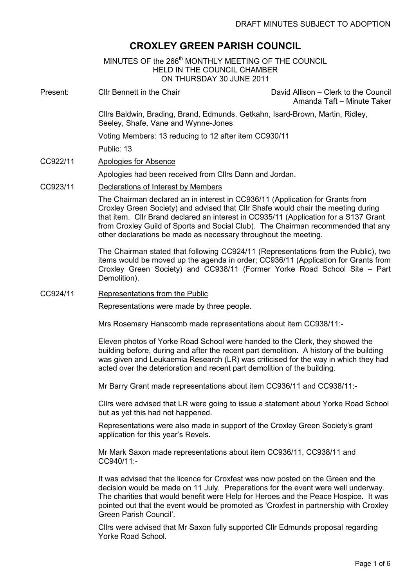# CROXLEY GREEN PARISH COUNCIL

MINUTES OF the 266<sup>th</sup> MONTHLY MEETING OF THE COUNCIL HELD IN THE COUNCIL CHAMBER ON THURSDAY 30 JUNE 2011

٦ Present: Cllr Bennett in the Chair David Allison – Clerk to the Council Amanda Taft – Minute Taker Cllrs Baldwin, Brading, Brand, Edmunds, Getkahn, Isard-Brown, Martin, Ridley, Seeley, Shafe, Vane and Wynne-Jones Voting Members: 13 reducing to 12 after item CC930/11

Public: 13

CC922/11 Apologies for Absence

Apologies had been received from Cllrs Dann and Jordan.

CC923/11 Declarations of Interest by Members

The Chairman declared an in interest in CC936/11 (Application for Grants from Croxley Green Society) and advised that Cllr Shafe would chair the meeting during that item. Cllr Brand declared an interest in CC935/11 (Application for a S137 Grant from Croxley Guild of Sports and Social Club). The Chairman recommended that any other declarations be made as necessary throughout the meeting.

 The Chairman stated that following CC924/11 (Representations from the Public), two items would be moved up the agenda in order; CC936/11 (Application for Grants from Croxley Green Society) and CC938/11 (Former Yorke Road School Site – Part Demolition).

CC924/11 Representations from the Public

Representations were made by three people.

Mrs Rosemary Hanscomb made representations about item CC938/11:-

Eleven photos of Yorke Road School were handed to the Clerk, they showed the building before, during and after the recent part demolition. A history of the building was given and Leukaemia Research (LR) was criticised for the way in which they had acted over the deterioration and recent part demolition of the building.

Mr Barry Grant made representations about item CC936/11 and CC938/11:-

Cllrs were advised that LR were going to issue a statement about Yorke Road School but as yet this had not happened.

Representations were also made in support of the Croxley Green Society's grant application for this year's Revels.

Mr Mark Saxon made representations about item CC936/11, CC938/11 and CC940/11:-

It was advised that the licence for Croxfest was now posted on the Green and the decision would be made on 11 July. Preparations for the event were well underway. The charities that would benefit were Help for Heroes and the Peace Hospice. It was pointed out that the event would be promoted as 'Croxfest in partnership with Croxley Green Parish Council'.

Cllrs were advised that Mr Saxon fully supported Cllr Edmunds proposal regarding Yorke Road School.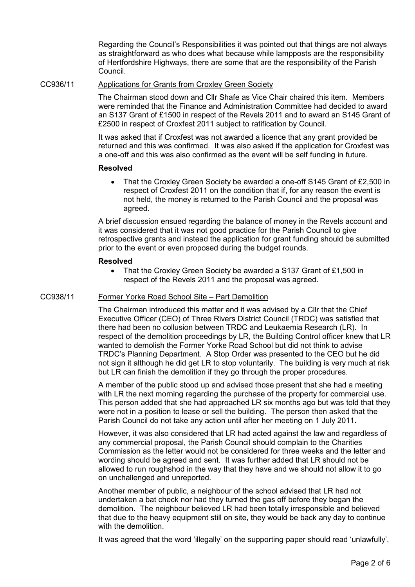Regarding the Council's Responsibilities it was pointed out that things are not always as straightforward as who does what because while lampposts are the responsibility of Hertfordshire Highways, there are some that are the responsibility of the Parish Council.

CC936/11 Applications for Grants from Croxley Green Society

The Chairman stood down and Cllr Shafe as Vice Chair chaired this item. Members were reminded that the Finance and Administration Committee had decided to award an S137 Grant of £1500 in respect of the Revels 2011 and to award an S145 Grant of £2500 in respect of Croxfest 2011 subject to ratification by Council.

It was asked that if Croxfest was not awarded a licence that any grant provided be returned and this was confirmed. It was also asked if the application for Croxfest was a one-off and this was also confirmed as the event will be self funding in future.

## Resolved

• That the Croxley Green Society be awarded a one-off S145 Grant of £2,500 in respect of Croxfest 2011 on the condition that if, for any reason the event is not held, the money is returned to the Parish Council and the proposal was agreed.

A brief discussion ensued regarding the balance of money in the Revels account and it was considered that it was not good practice for the Parish Council to give retrospective grants and instead the application for grant funding should be submitted prior to the event or even proposed during the budget rounds.

## Resolved

• That the Croxley Green Society be awarded a S137 Grant of £1,500 in respect of the Revels 2011 and the proposal was agreed.

# CC938/11 Former Yorke Road School Site – Part Demolition

The Chairman introduced this matter and it was advised by a Cllr that the Chief Executive Officer (CEO) of Three Rivers District Council (TRDC) was satisfied that there had been no collusion between TRDC and Leukaemia Research (LR). In respect of the demolition proceedings by LR, the Building Control officer knew that LR wanted to demolish the Former Yorke Road School but did not think to advise TRDC's Planning Department. A Stop Order was presented to the CEO but he did not sign it although he did get LR to stop voluntarily. The building is very much at risk but LR can finish the demolition if they go through the proper procedures.

A member of the public stood up and advised those present that she had a meeting with LR the next morning regarding the purchase of the property for commercial use. This person added that she had approached LR six months ago but was told that they were not in a position to lease or sell the building. The person then asked that the Parish Council do not take any action until after her meeting on 1 July 2011.

However, it was also considered that LR had acted against the law and regardless of any commercial proposal, the Parish Council should complain to the Charities Commission as the letter would not be considered for three weeks and the letter and wording should be agreed and sent. It was further added that LR should not be allowed to run roughshod in the way that they have and we should not allow it to go on unchallenged and unreported.

Another member of public, a neighbour of the school advised that LR had not undertaken a bat check nor had they turned the gas off before they began the demolition. The neighbour believed LR had been totally irresponsible and believed that due to the heavy equipment still on site, they would be back any day to continue with the demolition.

It was agreed that the word 'illegally' on the supporting paper should read 'unlawfully'.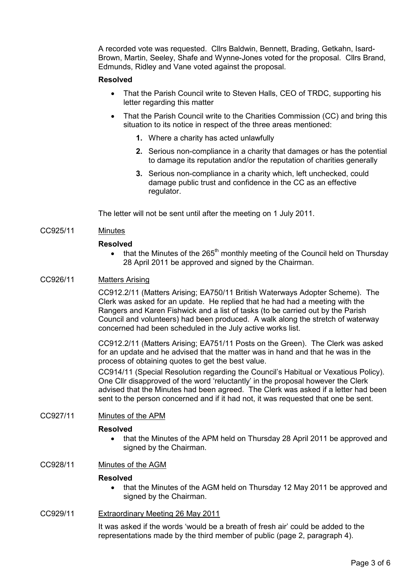A recorded vote was requested. Cllrs Baldwin, Bennett, Brading, Getkahn, Isard-Brown, Martin, Seeley, Shafe and Wynne-Jones voted for the proposal. Cllrs Brand, Edmunds, Ridley and Vane voted against the proposal.

## Resolved

- That the Parish Council write to Steven Halls, CEO of TRDC, supporting his letter regarding this matter
- That the Parish Council write to the Charities Commission (CC) and bring this situation to its notice in respect of the three areas mentioned:
	- 1. Where a charity has acted unlawfully
	- 2. Serious non-compliance in a charity that damages or has the potential to damage its reputation and/or the reputation of charities generally
	- 3. Serious non-compliance in a charity which, left unchecked, could damage public trust and confidence in the CC as an effective regulator.

The letter will not be sent until after the meeting on 1 July 2011.

## CC925/11 Minutes

### Resolved

• that the Minutes of the  $265<sup>th</sup>$  monthly meeting of the Council held on Thursday 28 April 2011 be approved and signed by the Chairman.

# CC926/11 Matters Arising

CC912.2/11 (Matters Arising; EA750/11 British Waterways Adopter Scheme). The Clerk was asked for an update. He replied that he had had a meeting with the Rangers and Karen Fishwick and a list of tasks (to be carried out by the Parish Council and volunteers) had been produced. A walk along the stretch of waterway concerned had been scheduled in the July active works list.

CC912.2/11 (Matters Arising; EA751/11 Posts on the Green). The Clerk was asked for an update and he advised that the matter was in hand and that he was in the process of obtaining quotes to get the best value.

CC914/11 (Special Resolution regarding the Council's Habitual or Vexatious Policy). One Cllr disapproved of the word 'reluctantly' in the proposal however the Clerk advised that the Minutes had been agreed. The Clerk was asked if a letter had been sent to the person concerned and if it had not, it was requested that one be sent.

### CC927/11 Minutes of the APM

### Resolved

• that the Minutes of the APM held on Thursday 28 April 2011 be approved and signed by the Chairman.

# CC928/11 Minutes of the AGM

#### Resolved

• that the Minutes of the AGM held on Thursday 12 May 2011 be approved and signed by the Chairman.

### CC929/11 Extraordinary Meeting 26 May 2011

It was asked if the words 'would be a breath of fresh air' could be added to the representations made by the third member of public (page 2, paragraph 4).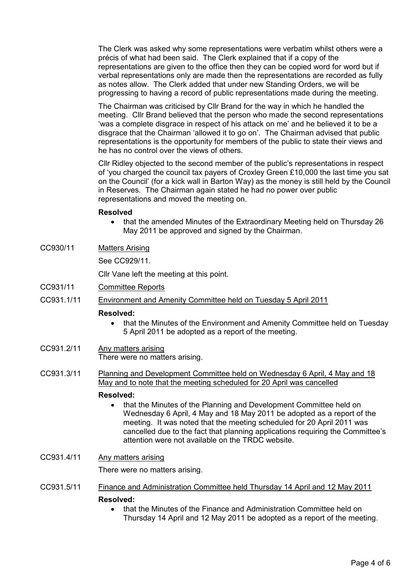The Clerk was asked why some representations were verbatim whilst others were a précis of what had been said. The Clerk explained that if a copy of the representations are given to the office then they can be copied word for word but if verbal representations only are made then the representations are recorded as fully as notes allow. The Clerk added that under new Standing Orders, we will be progressing to having a record of public representations made during the meeting.

The Chairman was criticised by Cllr Brand for the way in which he handled the meeting. Cllr Brand believed that the person who made the second representations 'was a complete disgrace in respect of his attack on me' and he believed it to be a disgrace that the Chairman 'allowed it to go on'. The Chairman advised that public representations is the opportunity for members of the public to state their views and he has no control over the views of others.

Cllr Ridley objected to the second member of the public's representations in respect of 'you charged the council tax payers of Croxley Green £10,000 the last time you sat on the Council' (for a kick wall in Barton Way) as the money is still held by the Council in Reserves. The Chairman again stated he had no power over public representations and moved the meeting on.

## Resolved

- that the amended Minutes of the Extraordinary Meeting held on Thursday 26 May 2011 be approved and signed by the Chairman.
- CC930/11 Matters Arising

See CC929/11.

Cllr Vane left the meeting at this point.

- CC931/11 Committee Reports
- CC931.1/11 Environment and Amenity Committee held on Tuesday 5 April 2011

# Resolved:

- that the Minutes of the Environment and Amenity Committee held on Tuesday 5 April 2011 be adopted as a report of the meeting.
- CC931.2/11 Any matters arising There were no matters arising.
- CC931.3/11 Planning and Development Committee held on Wednesday 6 April, 4 May and 18 May and to note that the meeting scheduled for 20 April was cancelled

### Resolved:

• that the Minutes of the Planning and Development Committee held on Wednesday 6 April, 4 May and 18 May 2011 be adopted as a report of the meeting. It was noted that the meeting scheduled for 20 April 2011 was cancelled due to the fact that planning applications requiring the Committee's attention were not available on the TRDC website.

# CC931.4/11 Any matters arising

There were no matters arising.

- CC931.5/11 Finance and Administration Committee held Thursday 14 April and 12 May 2011 Resolved:
	- that the Minutes of the Finance and Administration Committee held on Thursday 14 April and 12 May 2011 be adopted as a report of the meeting.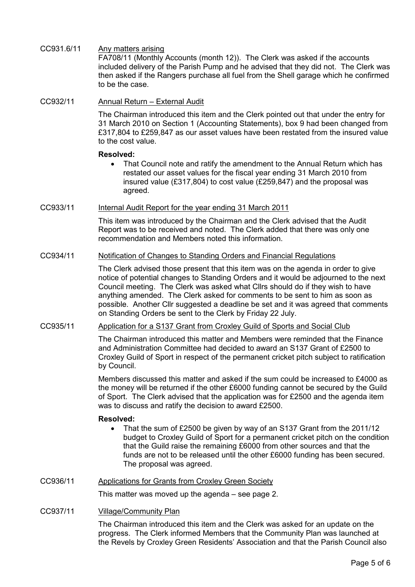CC931.6/11 Any matters arising FA708/11 (Monthly Accounts (month 12)). The Clerk was asked if the accounts included delivery of the Parish Pump and he advised that they did not. The Clerk was then asked if the Rangers purchase all fuel from the Shell garage which he confirmed

# CC932/11 Annual Return – External Audit

to be the case.

The Chairman introduced this item and the Clerk pointed out that under the entry for 31 March 2010 on Section 1 (Accounting Statements), box 9 had been changed from £317,804 to £259,847 as our asset values have been restated from the insured value to the cost value.

### Resolved:

• That Council note and ratify the amendment to the Annual Return which has restated our asset values for the fiscal year ending 31 March 2010 from insured value (£317,804) to cost value (£259,847) and the proposal was agreed.

## CC933/11 Internal Audit Report for the year ending 31 March 2011

This item was introduced by the Chairman and the Clerk advised that the Audit Report was to be received and noted. The Clerk added that there was only one recommendation and Members noted this information.

# CC934/11 Notification of Changes to Standing Orders and Financial Regulations

The Clerk advised those present that this item was on the agenda in order to give notice of potential changes to Standing Orders and it would be adjourned to the next Council meeting. The Clerk was asked what Cllrs should do if they wish to have anything amended. The Clerk asked for comments to be sent to him as soon as possible. Another Cllr suggested a deadline be set and it was agreed that comments on Standing Orders be sent to the Clerk by Friday 22 July.

# CC935/11 Application for a S137 Grant from Croxley Guild of Sports and Social Club

The Chairman introduced this matter and Members were reminded that the Finance and Administration Committee had decided to award an S137 Grant of £2500 to Croxley Guild of Sport in respect of the permanent cricket pitch subject to ratification by Council.

Members discussed this matter and asked if the sum could be increased to £4000 as the money will be returned if the other £6000 funding cannot be secured by the Guild of Sport. The Clerk advised that the application was for £2500 and the agenda item was to discuss and ratify the decision to award £2500.

### Resolved:

• That the sum of £2500 be given by way of an S137 Grant from the 2011/12 budget to Croxley Guild of Sport for a permanent cricket pitch on the condition that the Guild raise the remaining £6000 from other sources and that the funds are not to be released until the other £6000 funding has been secured. The proposal was agreed.

# CC936/11 Applications for Grants from Croxley Green Society

This matter was moved up the agenda – see page 2.

### CC937/11 Village/Community Plan

The Chairman introduced this item and the Clerk was asked for an update on the progress. The Clerk informed Members that the Community Plan was launched at the Revels by Croxley Green Residents' Association and that the Parish Council also